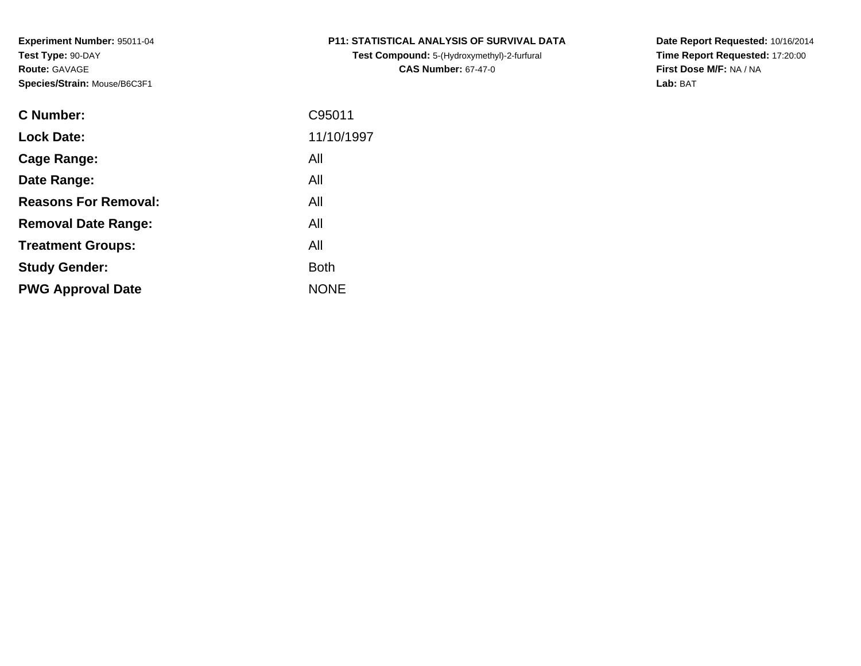**Test Compound:** 5-(Hydroxymethyl)-2-furfural **CAS Number:** 67-47-0

**Date Report Requested:** 10/16/2014 **Time Report Requested:** 17:20:00**First Dose M/F:** NA / NA**Lab:** BAT

| <b>C</b> Number:            | C95011      |
|-----------------------------|-------------|
| <b>Lock Date:</b>           | 11/10/1997  |
| Cage Range:                 | All         |
| Date Range:                 | All         |
| <b>Reasons For Removal:</b> | All         |
| <b>Removal Date Range:</b>  | All         |
| <b>Treatment Groups:</b>    | All         |
| <b>Study Gender:</b>        | <b>Both</b> |
| <b>PWG Approval Date</b>    | <b>NONE</b> |
|                             |             |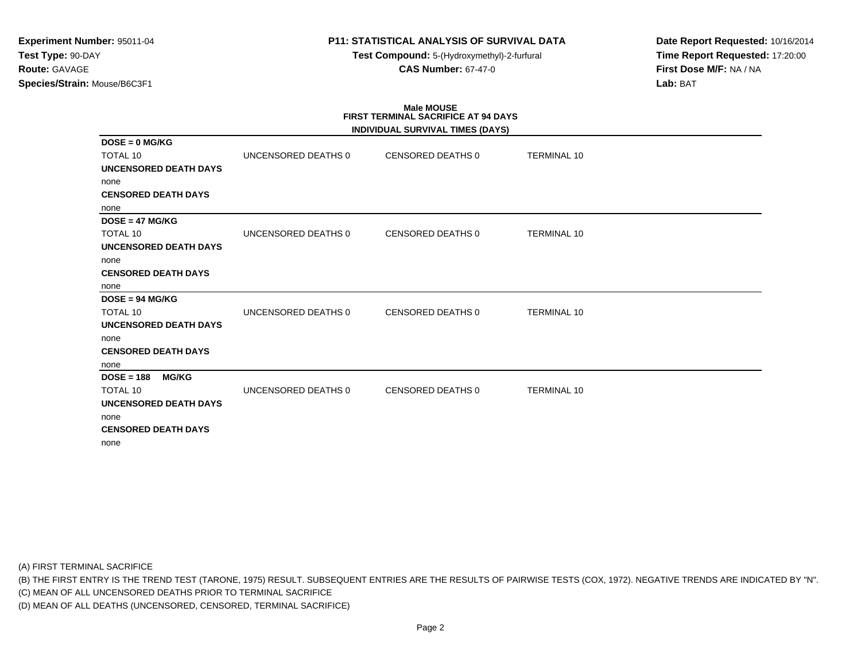**Test Compound:** 5-(Hydroxymethyl)-2-furfural **CAS Number:** 67-47-0

**Date Report Requested:** 10/16/2014**Time Report Requested:** 17:20:00**First Dose M/F:** NA / NA**Lab:** BAT

# **Male MOUSE FIRST TERMINAL SACRIFICE AT 94 DAYS**

|                              |                     | INDIVIDUAL SURVIVAL TIMES (DAYS) |                    |  |
|------------------------------|---------------------|----------------------------------|--------------------|--|
| $DOSE = 0$ MG/KG             |                     |                                  |                    |  |
| <b>TOTAL 10</b>              | UNCENSORED DEATHS 0 | CENSORED DEATHS 0                | <b>TERMINAL 10</b> |  |
| <b>UNCENSORED DEATH DAYS</b> |                     |                                  |                    |  |
| none                         |                     |                                  |                    |  |
| <b>CENSORED DEATH DAYS</b>   |                     |                                  |                    |  |
| none                         |                     |                                  |                    |  |
| $DOSE = 47 MG/KG$            |                     |                                  |                    |  |
| <b>TOTAL 10</b>              | UNCENSORED DEATHS 0 | CENSORED DEATHS 0                | <b>TERMINAL 10</b> |  |
| <b>UNCENSORED DEATH DAYS</b> |                     |                                  |                    |  |
| none                         |                     |                                  |                    |  |
| <b>CENSORED DEATH DAYS</b>   |                     |                                  |                    |  |
| none                         |                     |                                  |                    |  |
| $DOSE = 94 MG/KG$            |                     |                                  |                    |  |
| <b>TOTAL 10</b>              | UNCENSORED DEATHS 0 | <b>CENSORED DEATHS 0</b>         | <b>TERMINAL 10</b> |  |
| UNCENSORED DEATH DAYS        |                     |                                  |                    |  |
| none                         |                     |                                  |                    |  |
| <b>CENSORED DEATH DAYS</b>   |                     |                                  |                    |  |
| none                         |                     |                                  |                    |  |
| $DOSE = 188$<br><b>MG/KG</b> |                     |                                  |                    |  |
| <b>TOTAL 10</b>              | UNCENSORED DEATHS 0 | <b>CENSORED DEATHS 0</b>         | <b>TERMINAL 10</b> |  |
| <b>UNCENSORED DEATH DAYS</b> |                     |                                  |                    |  |
| none                         |                     |                                  |                    |  |
| <b>CENSORED DEATH DAYS</b>   |                     |                                  |                    |  |
| none                         |                     |                                  |                    |  |

(A) FIRST TERMINAL SACRIFICE

(B) THE FIRST ENTRY IS THE TREND TEST (TARONE, 1975) RESULT. SUBSEQUENT ENTRIES ARE THE RESULTS OF PAIRWISE TESTS (COX, 1972). NEGATIVE TRENDS ARE INDICATED BY "N".

(C) MEAN OF ALL UNCENSORED DEATHS PRIOR TO TERMINAL SACRIFICE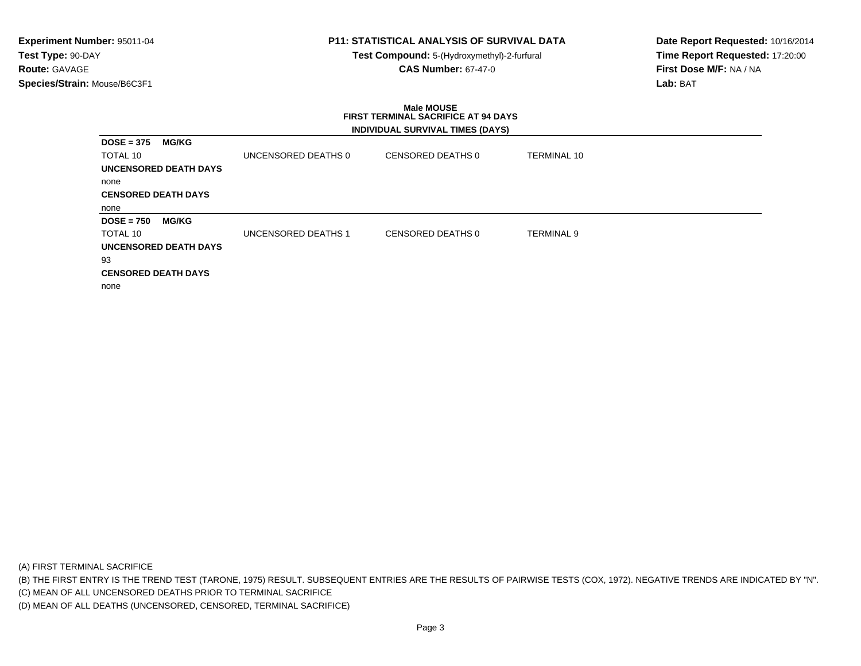# **P11: STATISTICAL ANALYSIS OF SURVIVAL DATA**

**Test Compound:** 5-(Hydroxymethyl)-2-furfural **CAS Number:** 67-47-0

**Date Report Requested:** 10/16/2014**Time Report Requested:** 17:20:00**First Dose M/F:** NA / NA**Lab:** BAT

#### **Male MOUSE FIRST TERMINAL SACRIFICE AT 94 DAYSINDIVIDUAL SURVIVAL TIMES (DAYS)**

| $DOSE = 375$               | <b>MG/KG</b>          |                     |                   |             |
|----------------------------|-----------------------|---------------------|-------------------|-------------|
| TOTAL 10                   |                       | UNCENSORED DEATHS 0 | CENSORED DEATHS 0 | TERMINAL 10 |
|                            | UNCENSORED DEATH DAYS |                     |                   |             |
| none                       |                       |                     |                   |             |
| <b>CENSORED DEATH DAYS</b> |                       |                     |                   |             |
| none                       |                       |                     |                   |             |
| $DOSE = 750$               | <b>MG/KG</b>          |                     |                   |             |
| TOTAL 10                   |                       | UNCENSORED DEATHS 1 | CENSORED DEATHS 0 | TERMINAL 9  |
|                            | UNCENSORED DEATH DAYS |                     |                   |             |
| 93                         |                       |                     |                   |             |
| <b>CENSORED DEATH DAYS</b> |                       |                     |                   |             |
| none                       |                       |                     |                   |             |

(A) FIRST TERMINAL SACRIFICE

(B) THE FIRST ENTRY IS THE TREND TEST (TARONE, 1975) RESULT. SUBSEQUENT ENTRIES ARE THE RESULTS OF PAIRWISE TESTS (COX, 1972). NEGATIVE TRENDS ARE INDICATED BY "N".

(C) MEAN OF ALL UNCENSORED DEATHS PRIOR TO TERMINAL SACRIFICE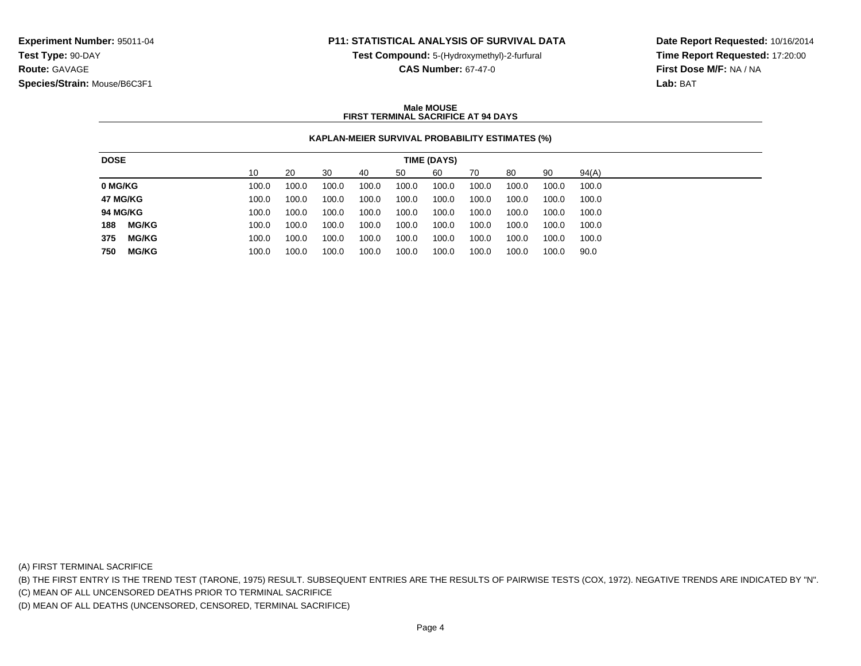**Test Compound:** 5-(Hydroxymethyl)-2-furfural

**CAS Number:** 67-47-0

**Date Report Requested:** 10/16/2014**Time Report Requested:** 17:20:00**First Dose M/F:** NA / NA**Lab:** BAT

#### **Male MOUSEFIRST TERMINAL SACRIFICE AT 94 DAYS**

## **KAPLAN-MEIER SURVIVAL PROBABILITY ESTIMATES (%)**

| 90<br>10<br>60<br>94(A)<br>20<br>30<br>70<br>80<br>50<br>40<br>100.0<br>100.0<br>100.0<br>100.0<br>100.0<br>100.0<br>100.0<br>100.0<br>100.0<br>100.0<br>100.0<br>100.0<br>100.0<br>100.0<br>100.0<br>100.0<br>100.0<br>100.0<br>100.0<br>100.0<br>100.0<br>100.0<br>100.0<br>100.0<br>100.0<br>100.0<br>100.0<br>100.0<br>100.0<br>100.0 |
|-------------------------------------------------------------------------------------------------------------------------------------------------------------------------------------------------------------------------------------------------------------------------------------------------------------------------------------------|
| 0 MG/KG<br>47 MG/KG                                                                                                                                                                                                                                                                                                                       |
|                                                                                                                                                                                                                                                                                                                                           |
| <b>94 MG/KG</b>                                                                                                                                                                                                                                                                                                                           |
|                                                                                                                                                                                                                                                                                                                                           |
| <b>MG/KG</b><br>188<br>100.0<br>100.0<br>100.0<br>100.0<br>100.0<br>100.0<br>100.0<br>100.0<br>100.0<br>100.0                                                                                                                                                                                                                             |
| <b>MG/KG</b><br>375<br>100.0<br>100.0<br>100.0<br>100.0<br>100.0<br>100.0<br>100.0<br>100.0<br>100.0<br>100.0                                                                                                                                                                                                                             |
| <b>MG/KG</b><br>100.0<br>750<br>100.0<br>100.0<br>100.0<br>100.0<br>100.0<br>100.0<br>100.0<br>100.0<br>90.0                                                                                                                                                                                                                              |

(A) FIRST TERMINAL SACRIFICE

(B) THE FIRST ENTRY IS THE TREND TEST (TARONE, 1975) RESULT. SUBSEQUENT ENTRIES ARE THE RESULTS OF PAIRWISE TESTS (COX, 1972). NEGATIVE TRENDS ARE INDICATED BY "N".

(C) MEAN OF ALL UNCENSORED DEATHS PRIOR TO TERMINAL SACRIFICE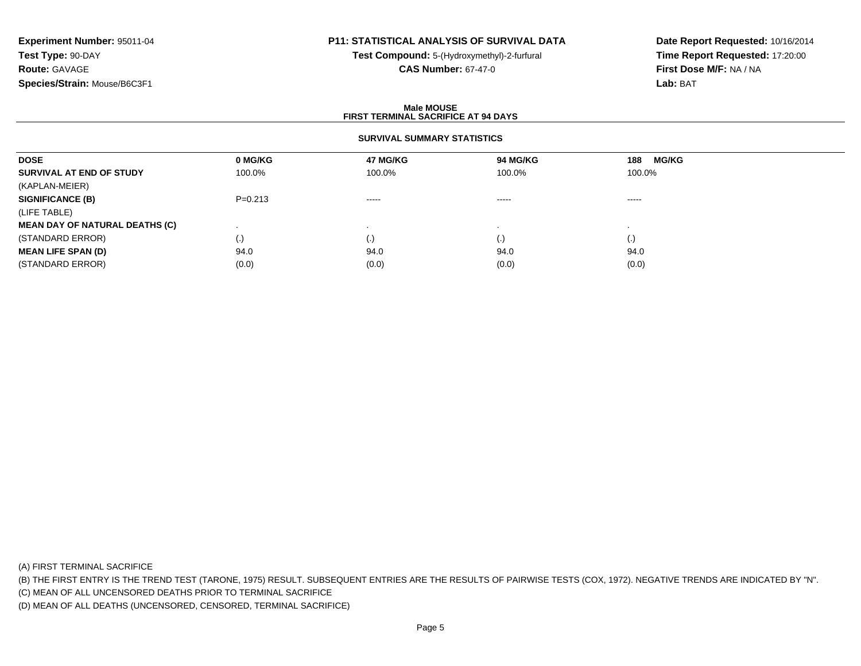# **P11: STATISTICAL ANALYSIS OF SURVIVAL DATA**

**Test Compound:** 5-(Hydroxymethyl)-2-furfural **CAS Number:** 67-47-0

**Date Report Requested:** 10/16/2014**Time Report Requested:** 17:20:00**First Dose M/F:** NA / NA**Lab:** BAT

#### **Male MOUSEFIRST TERMINAL SACRIFICE AT 94 DAYS**

### **SURVIVAL SUMMARY STATISTICS**

| <b>DOSE</b>                           | 0 MG/KG   | <b>47 MG/KG</b> | 94 MG/KG           | <b>MG/KG</b><br>188 |
|---------------------------------------|-----------|-----------------|--------------------|---------------------|
| SURVIVAL AT END OF STUDY              | 100.0%    | 100.0%          | 100.0%             | 100.0%              |
| (KAPLAN-MEIER)                        |           |                 |                    |                     |
| <b>SIGNIFICANCE (B)</b>               | $P=0.213$ | $\cdots$        | $\cdots$           | -----               |
| (LIFE TABLE)                          |           |                 |                    |                     |
| <b>MEAN DAY OF NATURAL DEATHS (C)</b> |           |                 |                    |                     |
| (STANDARD ERROR)                      | (.)       |                 | $\left( . \right)$ | $\left( . \right)$  |
| <b>MEAN LIFE SPAN (D)</b>             | 94.0      | 94.0            | 94.0               | 94.0                |
| (STANDARD ERROR)                      | (0.0)     | (0.0)           | (0.0)              | (0.0)               |

(A) FIRST TERMINAL SACRIFICE

(B) THE FIRST ENTRY IS THE TREND TEST (TARONE, 1975) RESULT. SUBSEQUENT ENTRIES ARE THE RESULTS OF PAIRWISE TESTS (COX, 1972). NEGATIVE TRENDS ARE INDICATED BY "N".

(C) MEAN OF ALL UNCENSORED DEATHS PRIOR TO TERMINAL SACRIFICE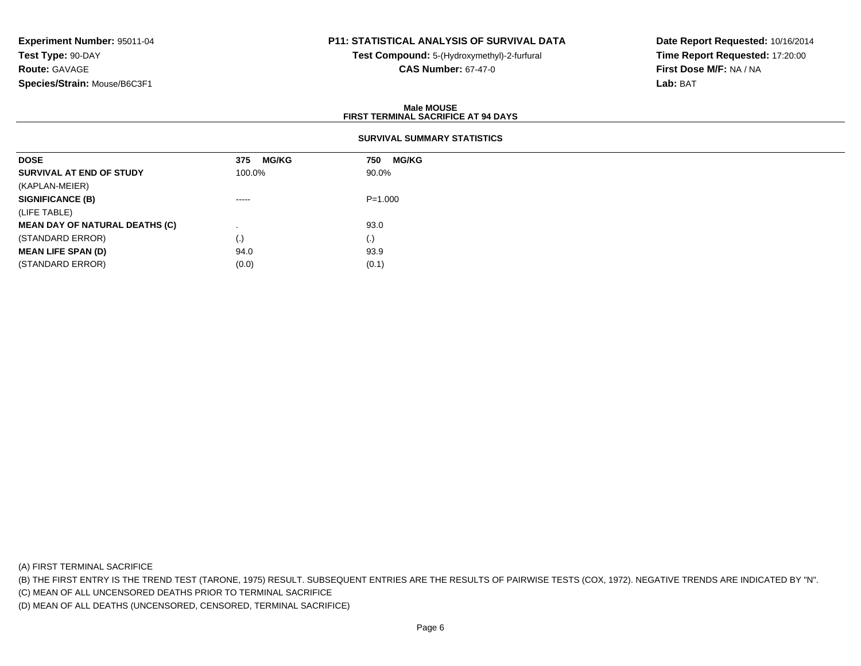# **P11: STATISTICAL ANALYSIS OF SURVIVAL DATA**

**Test Compound:** 5-(Hydroxymethyl)-2-furfural **CAS Number:** 67-47-0

**Date Report Requested:** 10/16/2014**Time Report Requested:** 17:20:00**First Dose M/F:** NA / NA**Lab:** BAT

#### **Male MOUSEFIRST TERMINAL SACRIFICE AT 94 DAYS**

## **SURVIVAL SUMMARY STATISTICS**

| <b>DOSE</b>                           | <b>MG/KG</b><br>375 | <b>MG/KG</b><br>750 |
|---------------------------------------|---------------------|---------------------|
| SURVIVAL AT END OF STUDY              | 100.0%              | 90.0%               |
| (KAPLAN-MEIER)                        |                     |                     |
| <b>SIGNIFICANCE (B)</b>               | -----               | $P = 1.000$         |
| (LIFE TABLE)                          |                     |                     |
| <b>MEAN DAY OF NATURAL DEATHS (C)</b> |                     | 93.0                |
| (STANDARD ERROR)                      | $\left( . \right)$  | (.)                 |
| <b>MEAN LIFE SPAN (D)</b>             | 94.0                | 93.9                |
| (STANDARD ERROR)                      | (0.0)               | (0.1)               |

(A) FIRST TERMINAL SACRIFICE

(B) THE FIRST ENTRY IS THE TREND TEST (TARONE, 1975) RESULT. SUBSEQUENT ENTRIES ARE THE RESULTS OF PAIRWISE TESTS (COX, 1972). NEGATIVE TRENDS ARE INDICATED BY "N".

(C) MEAN OF ALL UNCENSORED DEATHS PRIOR TO TERMINAL SACRIFICE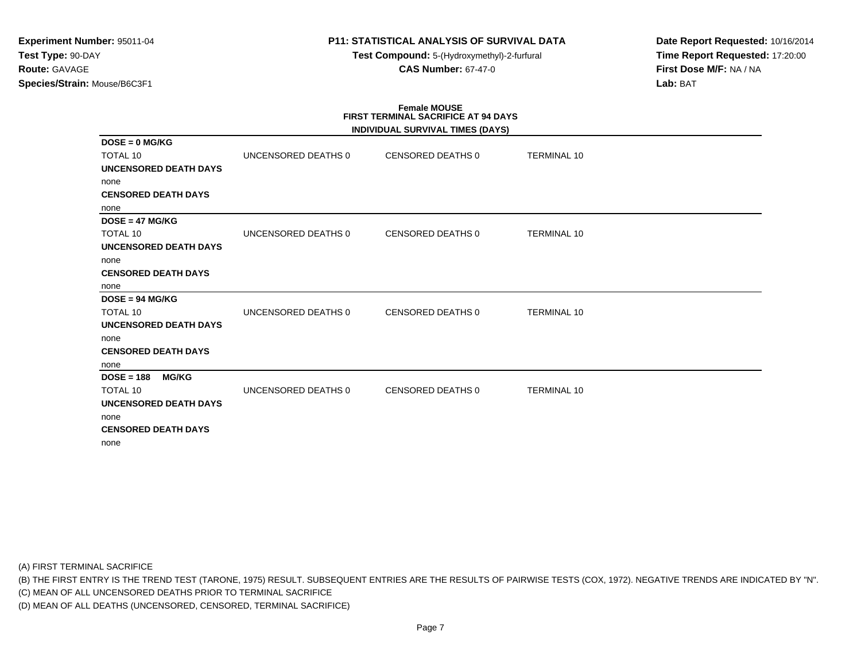**Test Compound:** 5-(Hydroxymethyl)-2-furfural **CAS Number:** 67-47-0

**Date Report Requested:** 10/16/2014**Time Report Requested:** 17:20:00**First Dose M/F:** NA / NA**Lab:** BAT

# **Female MOUSE FIRST TERMINAL SACRIFICE AT 94 DAYS**

|                              |                     | INDIVIDUAL SURVIVAL TIMES (DAYS) |                    |  |
|------------------------------|---------------------|----------------------------------|--------------------|--|
| $DOSE = 0$ MG/KG             |                     |                                  |                    |  |
| <b>TOTAL 10</b>              | UNCENSORED DEATHS 0 | CENSORED DEATHS 0                | <b>TERMINAL 10</b> |  |
| <b>UNCENSORED DEATH DAYS</b> |                     |                                  |                    |  |
| none                         |                     |                                  |                    |  |
| <b>CENSORED DEATH DAYS</b>   |                     |                                  |                    |  |
| none                         |                     |                                  |                    |  |
| $DOSE = 47 MG/KG$            |                     |                                  |                    |  |
| <b>TOTAL 10</b>              | UNCENSORED DEATHS 0 | CENSORED DEATHS 0                | <b>TERMINAL 10</b> |  |
| <b>UNCENSORED DEATH DAYS</b> |                     |                                  |                    |  |
| none                         |                     |                                  |                    |  |
| <b>CENSORED DEATH DAYS</b>   |                     |                                  |                    |  |
| none                         |                     |                                  |                    |  |
| $DOSE = 94 MG/KG$            |                     |                                  |                    |  |
| <b>TOTAL 10</b>              | UNCENSORED DEATHS 0 | <b>CENSORED DEATHS 0</b>         | <b>TERMINAL 10</b> |  |
| <b>UNCENSORED DEATH DAYS</b> |                     |                                  |                    |  |
| none                         |                     |                                  |                    |  |
| <b>CENSORED DEATH DAYS</b>   |                     |                                  |                    |  |
| none                         |                     |                                  |                    |  |
| $DOSE = 188$<br><b>MG/KG</b> |                     |                                  |                    |  |
| <b>TOTAL 10</b>              | UNCENSORED DEATHS 0 | CENSORED DEATHS 0                | <b>TERMINAL 10</b> |  |
| <b>UNCENSORED DEATH DAYS</b> |                     |                                  |                    |  |
| none                         |                     |                                  |                    |  |
| <b>CENSORED DEATH DAYS</b>   |                     |                                  |                    |  |
| none                         |                     |                                  |                    |  |

(A) FIRST TERMINAL SACRIFICE

(B) THE FIRST ENTRY IS THE TREND TEST (TARONE, 1975) RESULT. SUBSEQUENT ENTRIES ARE THE RESULTS OF PAIRWISE TESTS (COX, 1972). NEGATIVE TRENDS ARE INDICATED BY "N".

(C) MEAN OF ALL UNCENSORED DEATHS PRIOR TO TERMINAL SACRIFICE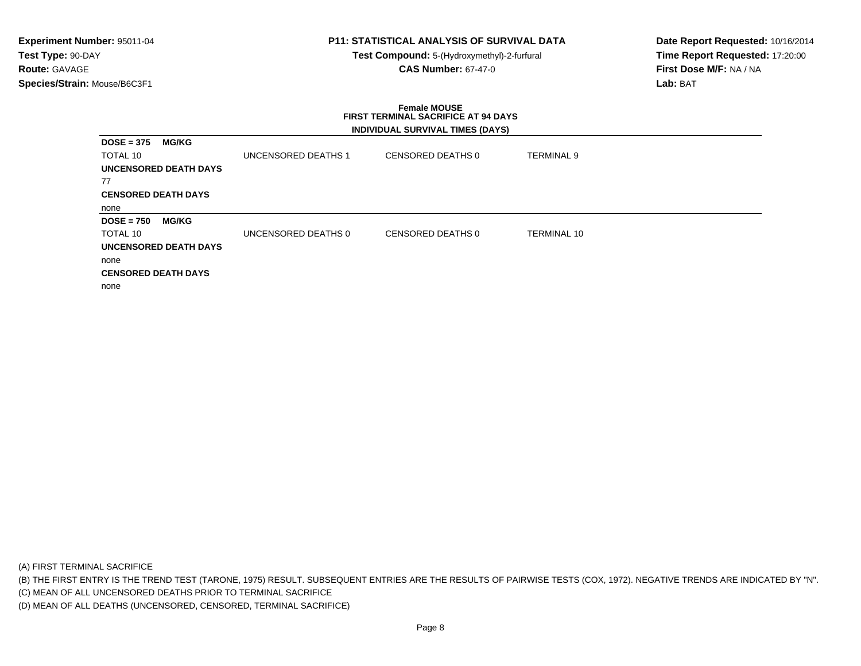## **P11: STATISTICAL ANALYSIS OF SURVIVAL DATA**

**Test Compound:** 5-(Hydroxymethyl)-2-furfural **CAS Number:** 67-47-0

**Date Report Requested:** 10/16/2014**Time Report Requested:** 17:20:00**First Dose M/F:** NA / NA**Lab:** BAT

#### **Female MOUSE FIRST TERMINAL SACRIFICE AT 94 DAYSINDIVIDUAL SURVIVAL TIMES (DAYS)**

|                              |                     | $\mathbf{r}$      |                    |
|------------------------------|---------------------|-------------------|--------------------|
| <b>MG/KG</b><br>$DOSE = 375$ |                     |                   |                    |
| TOTAL 10                     | UNCENSORED DEATHS 1 | CENSORED DEATHS 0 | <b>TERMINAL 9</b>  |
| <b>UNCENSORED DEATH DAYS</b> |                     |                   |                    |
| 77                           |                     |                   |                    |
| <b>CENSORED DEATH DAYS</b>   |                     |                   |                    |
| none                         |                     |                   |                    |
| <b>MG/KG</b><br>$DOSE = 750$ |                     |                   |                    |
| TOTAL 10                     | UNCENSORED DEATHS 0 | CENSORED DEATHS 0 | <b>TERMINAL 10</b> |
| <b>UNCENSORED DEATH DAYS</b> |                     |                   |                    |
| none                         |                     |                   |                    |
| <b>CENSORED DEATH DAYS</b>   |                     |                   |                    |
| none                         |                     |                   |                    |

(A) FIRST TERMINAL SACRIFICE

(B) THE FIRST ENTRY IS THE TREND TEST (TARONE, 1975) RESULT. SUBSEQUENT ENTRIES ARE THE RESULTS OF PAIRWISE TESTS (COX, 1972). NEGATIVE TRENDS ARE INDICATED BY "N".

(C) MEAN OF ALL UNCENSORED DEATHS PRIOR TO TERMINAL SACRIFICE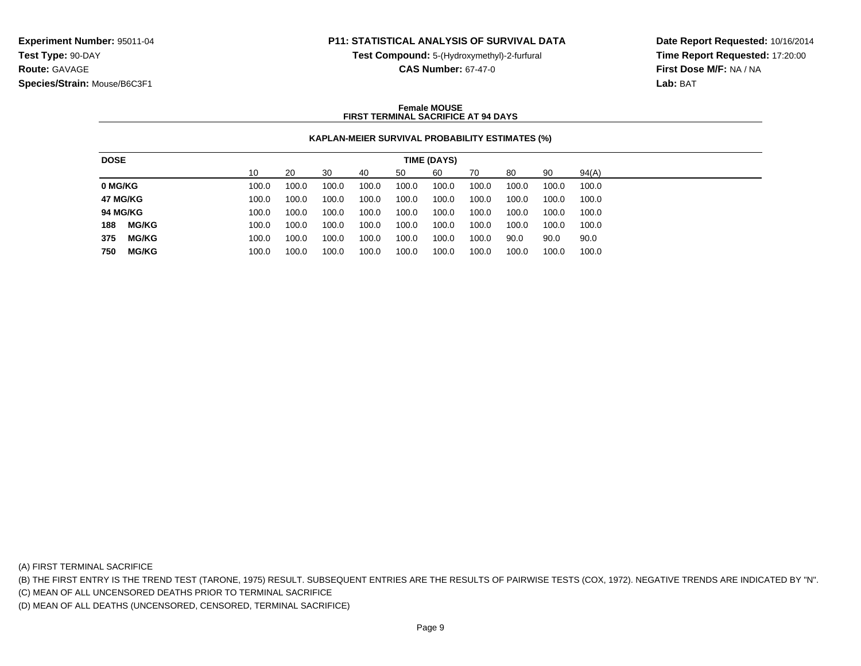**Test Compound:** 5-(Hydroxymethyl)-2-furfural

**Date Report Requested:** 10/16/2014**Time Report Requested:** 17:20:00**First Dose M/F:** NA / NA**Lab:** BAT

# **CAS Number:** 67-47-0

#### **Female MOUSEFIRST TERMINAL SACRIFICE AT 94 DAYS**

#### **KAPLAN-MEIER SURVIVAL PROBABILITY ESTIMATES (%)**

| 90<br>10<br>60<br>94(A)<br>20<br>30<br>70<br>80<br>50<br>40<br>100.0<br>100.0<br>100.0<br>100.0<br>100.0<br>100.0<br>100.0<br>100.0<br>100.0<br>100.0<br>100.0<br>100.0<br>100.0<br>100.0<br>100.0<br>100.0<br>100.0<br>100.0<br>100.0<br>100.0<br>100.0<br>100.0<br>100.0<br>100.0<br>100.0<br>100.0<br>100.0<br>100.0<br>100.0<br>100.0<br><b>MG/KG</b><br>100.0<br>100.0<br>100.0<br>100.0<br>100.0<br>100.0<br>100.0<br>100.0<br>100.0<br>100.0<br><b>MG/KG</b><br>100.0<br>100.0<br>100.0<br>100.0<br>100.0<br>100.0<br>100.0<br>90.0<br>90.0<br>90.0 |
|------------------------------------------------------------------------------------------------------------------------------------------------------------------------------------------------------------------------------------------------------------------------------------------------------------------------------------------------------------------------------------------------------------------------------------------------------------------------------------------------------------------------------------------------------------|
| 0 MG/KG<br>47 MG/KG<br>188<br>375                                                                                                                                                                                                                                                                                                                                                                                                                                                                                                                          |
|                                                                                                                                                                                                                                                                                                                                                                                                                                                                                                                                                            |
| <b>94 MG/KG</b>                                                                                                                                                                                                                                                                                                                                                                                                                                                                                                                                            |
|                                                                                                                                                                                                                                                                                                                                                                                                                                                                                                                                                            |
|                                                                                                                                                                                                                                                                                                                                                                                                                                                                                                                                                            |
|                                                                                                                                                                                                                                                                                                                                                                                                                                                                                                                                                            |
| <b>MG/KG</b><br>100.0<br>750<br>100.0<br>100.0<br>100.0<br>100.0<br>100.0<br>100.0<br>100.0<br>100.0<br>100.0                                                                                                                                                                                                                                                                                                                                                                                                                                              |

(A) FIRST TERMINAL SACRIFICE

(B) THE FIRST ENTRY IS THE TREND TEST (TARONE, 1975) RESULT. SUBSEQUENT ENTRIES ARE THE RESULTS OF PAIRWISE TESTS (COX, 1972). NEGATIVE TRENDS ARE INDICATED BY "N".

(C) MEAN OF ALL UNCENSORED DEATHS PRIOR TO TERMINAL SACRIFICE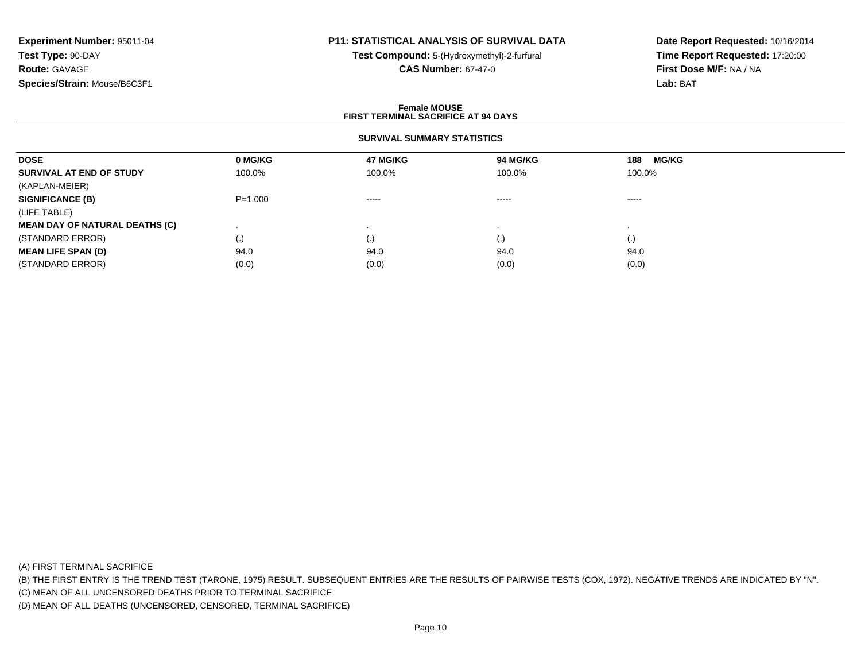# **P11: STATISTICAL ANALYSIS OF SURVIVAL DATA**

**Test Compound:** 5-(Hydroxymethyl)-2-furfural **CAS Number:** 67-47-0

**Date Report Requested:** 10/16/2014**Time Report Requested:** 17:20:00**First Dose M/F:** NA / NA**Lab:** BAT

#### **Female MOUSEFIRST TERMINAL SACRIFICE AT 94 DAYS**

### **SURVIVAL SUMMARY STATISTICS**

| <b>DOSE</b>                           | 0 MG/KG     | <b>47 MG/KG</b> | <b>94 MG/KG</b>                                                                                                                                                                                                                                                                                                                                                                                                                                                                        | <b>MG/KG</b><br>188 |  |
|---------------------------------------|-------------|-----------------|----------------------------------------------------------------------------------------------------------------------------------------------------------------------------------------------------------------------------------------------------------------------------------------------------------------------------------------------------------------------------------------------------------------------------------------------------------------------------------------|---------------------|--|
| SURVIVAL AT END OF STUDY              | 100.0%      | 100.0%          | 100.0%                                                                                                                                                                                                                                                                                                                                                                                                                                                                                 | 100.0%              |  |
| (KAPLAN-MEIER)                        |             |                 |                                                                                                                                                                                                                                                                                                                                                                                                                                                                                        |                     |  |
| <b>SIGNIFICANCE (B)</b>               | $P = 1.000$ | $\cdots$        | $\begin{array}{cccccccccccccc} \multicolumn{2}{c}{} & \multicolumn{2}{c}{} & \multicolumn{2}{c}{} & \multicolumn{2}{c}{} & \multicolumn{2}{c}{} & \multicolumn{2}{c}{} & \multicolumn{2}{c}{} & \multicolumn{2}{c}{} & \multicolumn{2}{c}{} & \multicolumn{2}{c}{} & \multicolumn{2}{c}{} & \multicolumn{2}{c}{} & \multicolumn{2}{c}{} & \multicolumn{2}{c}{} & \multicolumn{2}{c}{} & \multicolumn{2}{c}{} & \multicolumn{2}{c}{} & \multicolumn{2}{c}{} & \multicolumn{2}{c}{} & \$ | $\cdots$            |  |
| (LIFE TABLE)                          |             |                 |                                                                                                                                                                                                                                                                                                                                                                                                                                                                                        |                     |  |
| <b>MEAN DAY OF NATURAL DEATHS (C)</b> |             |                 |                                                                                                                                                                                                                                                                                                                                                                                                                                                                                        |                     |  |
| (STANDARD ERROR)                      | (.)         | (.)             | $\left( \cdot \right)$                                                                                                                                                                                                                                                                                                                                                                                                                                                                 | $\left( .\right)$   |  |
| <b>MEAN LIFE SPAN (D)</b>             | 94.0        | 94.0            | 94.0                                                                                                                                                                                                                                                                                                                                                                                                                                                                                   | 94.0                |  |
| (STANDARD ERROR)                      | (0.0)       | (0.0)           | (0.0)                                                                                                                                                                                                                                                                                                                                                                                                                                                                                  | (0.0)               |  |

(A) FIRST TERMINAL SACRIFICE

(B) THE FIRST ENTRY IS THE TREND TEST (TARONE, 1975) RESULT. SUBSEQUENT ENTRIES ARE THE RESULTS OF PAIRWISE TESTS (COX, 1972). NEGATIVE TRENDS ARE INDICATED BY "N".

(C) MEAN OF ALL UNCENSORED DEATHS PRIOR TO TERMINAL SACRIFICE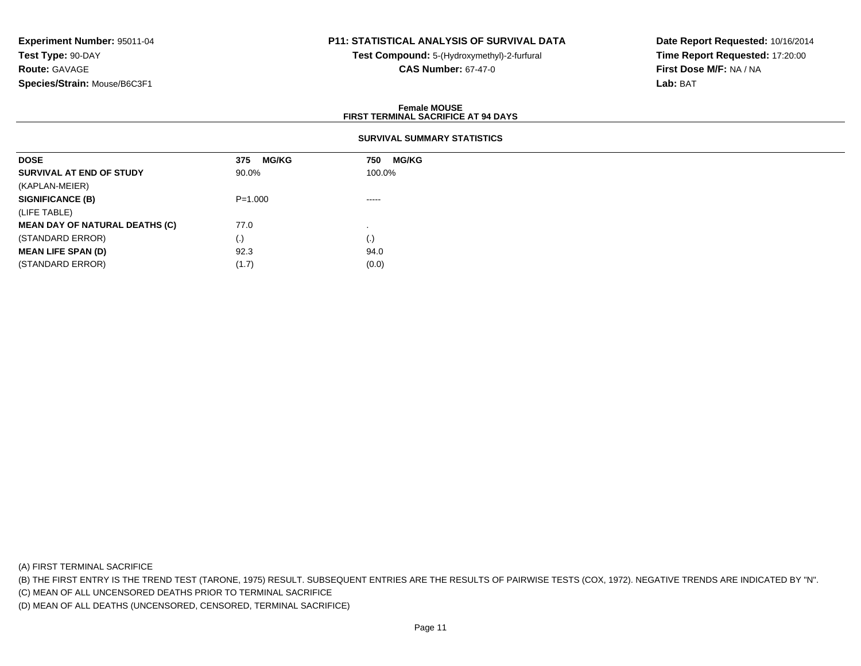# **P11: STATISTICAL ANALYSIS OF SURVIVAL DATA**

**Test Compound:** 5-(Hydroxymethyl)-2-furfural **CAS Number:** 67-47-0

**Date Report Requested:** 10/16/2014**Time Report Requested:** 17:20:00**First Dose M/F:** NA / NA**Lab:** BAT

#### **Female MOUSEFIRST TERMINAL SACRIFICE AT 94 DAYS**

## **SURVIVAL SUMMARY STATISTICS**

| <b>DOSE</b>                           | <b>MG/KG</b><br>375 | <b>MG/KG</b><br>750 |
|---------------------------------------|---------------------|---------------------|
| SURVIVAL AT END OF STUDY              | 90.0%               | 100.0%              |
| (KAPLAN-MEIER)                        |                     |                     |
| <b>SIGNIFICANCE (B)</b>               | $P = 1.000$         | -----               |
| (LIFE TABLE)                          |                     |                     |
| <b>MEAN DAY OF NATURAL DEATHS (C)</b> | 77.0                |                     |
| (STANDARD ERROR)                      | $\left( . \right)$  | (.)                 |
| <b>MEAN LIFE SPAN (D)</b>             | 92.3                | 94.0                |
| (STANDARD ERROR)                      | (1.7)               | (0.0)               |

(A) FIRST TERMINAL SACRIFICE

(B) THE FIRST ENTRY IS THE TREND TEST (TARONE, 1975) RESULT. SUBSEQUENT ENTRIES ARE THE RESULTS OF PAIRWISE TESTS (COX, 1972). NEGATIVE TRENDS ARE INDICATED BY "N".

(C) MEAN OF ALL UNCENSORED DEATHS PRIOR TO TERMINAL SACRIFICE